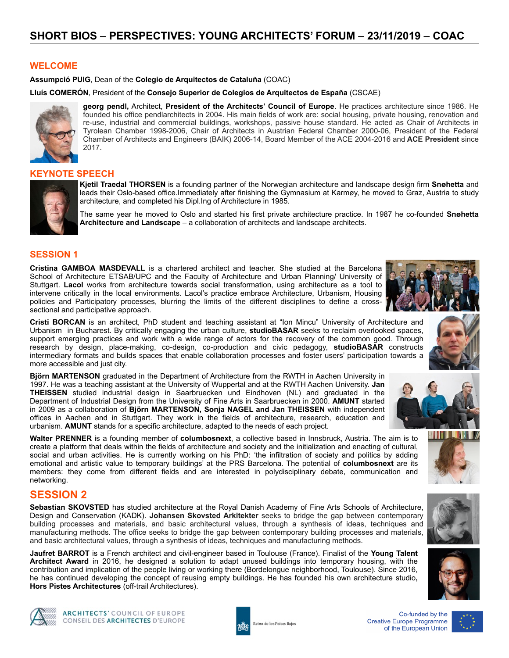### **WELCOME**

**Assumpció PUIG**, Dean of the **Colegio de Arquitectos de Cataluña** (COAC)

**Lluís COMERÓN**, President of the **Consejo Superior de Colegios de Arquitectos de España** (CSCAE)



**georg pendl,** Architect, **President of the Architects' Council of Europe**. He practices architecture since 1986. He founded his office pendlarchitects in 2004. His main fields of work are: social housing, private housing, renovation and re-use, industrial and commercial buildings, workshops, passive house standard. He acted as Chair of Architects in Tyrolean Chamber 1998-2006, Chair of Architects in Austrian Federal Chamber 2000-06, President of the Federal Chamber of Architects and Engineers (BAIK) 2006-14, Board Member of the ACE 2004-2016 and **ACE President** since 2017.

#### **KEYNOTE SPEECH**



**Kjetil Traedal THORSEN** is a founding partner of the Norwegian architecture and landscape design firm **Snøhetta** and leads their Oslo-based office.Immediately after finishing the Gymnasium at Karmøy, he moved to Graz, Austria to study architecture, and completed his Dipl.Ing of Architecture in 1985.

The same year he moved to Oslo and started his first private architecture practice. In 1987 he co-founded **Snøhetta Architecture and Landscape** – a collaboration of architects and landscape architects.

### **SESSION 1**

**Cristina GAMBOA MASDEVALL** is a chartered architect and teacher. She studied at the Barcelona School of Architecture ETSAB/UPC and the Faculty of Architecture and Urban Planning/ University of Stuttgart. **Lacol** works from architecture towards social transformation, using architecture as a tool to intervene critically in the local environments. Lacol's practice embrace Architecture, Urbanism, Housing policies and Participatory processes, blurring the limits of the different disciplines to define a crosssectional and participative approach.

**Cristi BORCAN** is an architect, PhD student and teaching assistant at "Ion Mincu" University of Architecture and Urbanism in Bucharest. By critically engaging the urban culture, **studioBASAR** seeks to reclaim overlooked spaces, support emerging practices and work with a wide range of actors for the recovery of the common good. Through research by design, place-making, co-design, co-production and civic pedagogy, **studioBASAR** constructs intermediary formats and builds spaces that enable collaboration processes and foster users' participation towards a more accessible and just city.

**Björn MARTENSON** graduated in the Department of Architecture from the RWTH in Aachen University in 1997. He was a teaching assistant at the University of Wuppertal and at the RWTH Aachen University. **Jan THEISSEN** studied industrial design in Saarbruecken und Eindhoven (NL) and graduated in the Department of Industrial Design from the University of Fine Arts in Saarbruecken in 2000. **AMUNT** started in 2009 as a collaboration of **Björn MARTENSON, Sonja NAGEL and Jan THEISSEN** with independent offices in Aachen and in Stuttgart. They work in the fields of architecture, research, education and urbanism. **AMUNT** stands for a specific architecture, adapted to the needs of each project.

**Walter PRENNER** is a founding member of **columbosnext**, a collective based in Innsbruck, Austria. The aim is to create a platform that deals within the fields of architecture and society and the initialization and enacting of cultural, social and urban activities. He is currently working on his PhD: 'the infiltration of society and politics by adding emotional and artistic value to temporary buildings' at the PRS Barcelona. The potential of **columbosnext** are its members: they come from different fields and are interested in polydisciplinary debate, communication and networking.

### **SESSION 2**

**Sebastian SKOVSTED** has studied architecture at the Royal Danish Academy of Fine Arts Schools of Architecture, Design and Conservation (KADK). **Johansen Skovsted Arkitekter** seeks to bridge the gap between contemporary building processes and materials, and basic architectural values, through a synthesis of ideas, techniques and manufacturing methods. The office seeks to bridge the gap between contemporary building processes and materials, and basic architectural values, through a synthesis of ideas, techniques and manufacturing methods.

**Jaufret BARROT** is a French architect and civil-engineer based in Toulouse (France). Finalist of the **Young Talent Architect Award** in 2016, he designed a solution to adapt unused buildings into temporary housing, with the contribution and implication of the people living or working there (Bordelongue neighborhood, Toulouse). Since 2016, he has continued developing the concept of reusing empty buildings. He has founded his own architecture studio**, Hors Pistes Architectures** (off-trail Architectures).